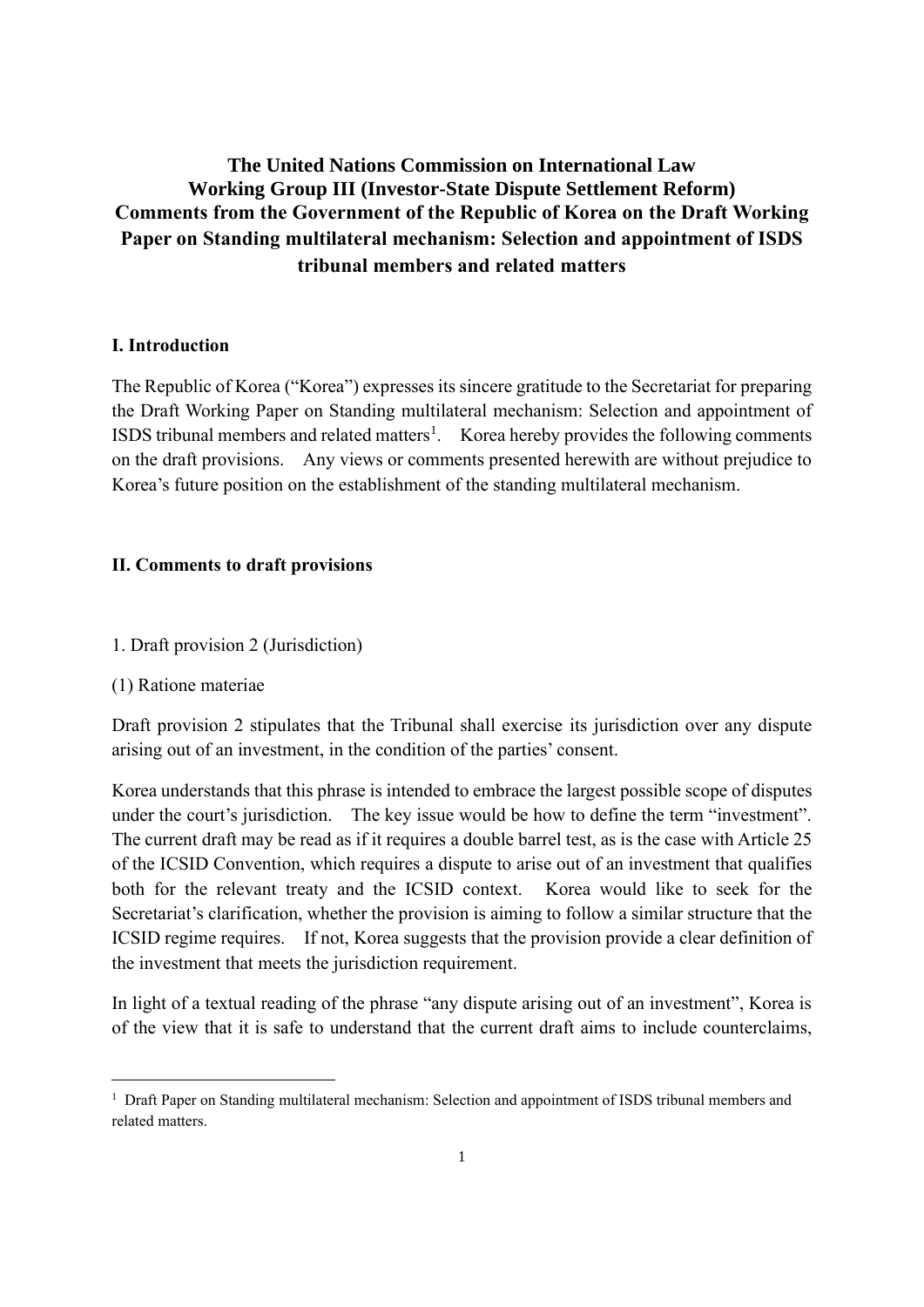# **The United Nations Commission on International Law Working Group III (Investor-State Dispute Settlement Reform) Comments from the Government of the Republic of Korea on the Draft Working Paper on Standing multilateral mechanism: Selection and appointment of ISDS tribunal members and related matters**

## **I. Introduction**

The Republic of Korea ("Korea") expresses its sincere gratitude to the Secretariat for preparing the Draft Working Paper on Standing multilateral mechanism: Selection and appointment of ISDS tribunal members and related matters<sup>1</sup>. Korea hereby provides the following comments on the draft provisions. Any views or comments presented herewith are without prejudice to Korea's future position on the establishment of the standing multilateral mechanism.

## **II. Comments to draft provisions**

- 1. Draft provision 2 (Jurisdiction)
- (1) Ratione materiae

Draft provision 2 stipulates that the Tribunal shall exercise its jurisdiction over any dispute arising out of an investment, in the condition of the parties' consent.

Korea understands that this phrase is intended to embrace the largest possible scope of disputes under the court's jurisdiction. The key issue would be how to define the term "investment". The current draft may be read as if it requires a double barrel test, as is the case with Article 25 of the ICSID Convention, which requires a dispute to arise out of an investment that qualifies both for the relevant treaty and the ICSID context. Korea would like to seek for the Secretariat's clarification, whether the provision is aiming to follow a similar structure that the ICSID regime requires. If not, Korea suggests that the provision provide a clear definition of the investment that meets the jurisdiction requirement.

In light of a textual reading of the phrase "any dispute arising out of an investment", Korea is of the view that it is safe to understand that the current draft aims to include counterclaims,

<sup>&</sup>lt;sup>1</sup> Draft Paper on Standing multilateral mechanism: Selection and appointment of ISDS tribunal members and related matters.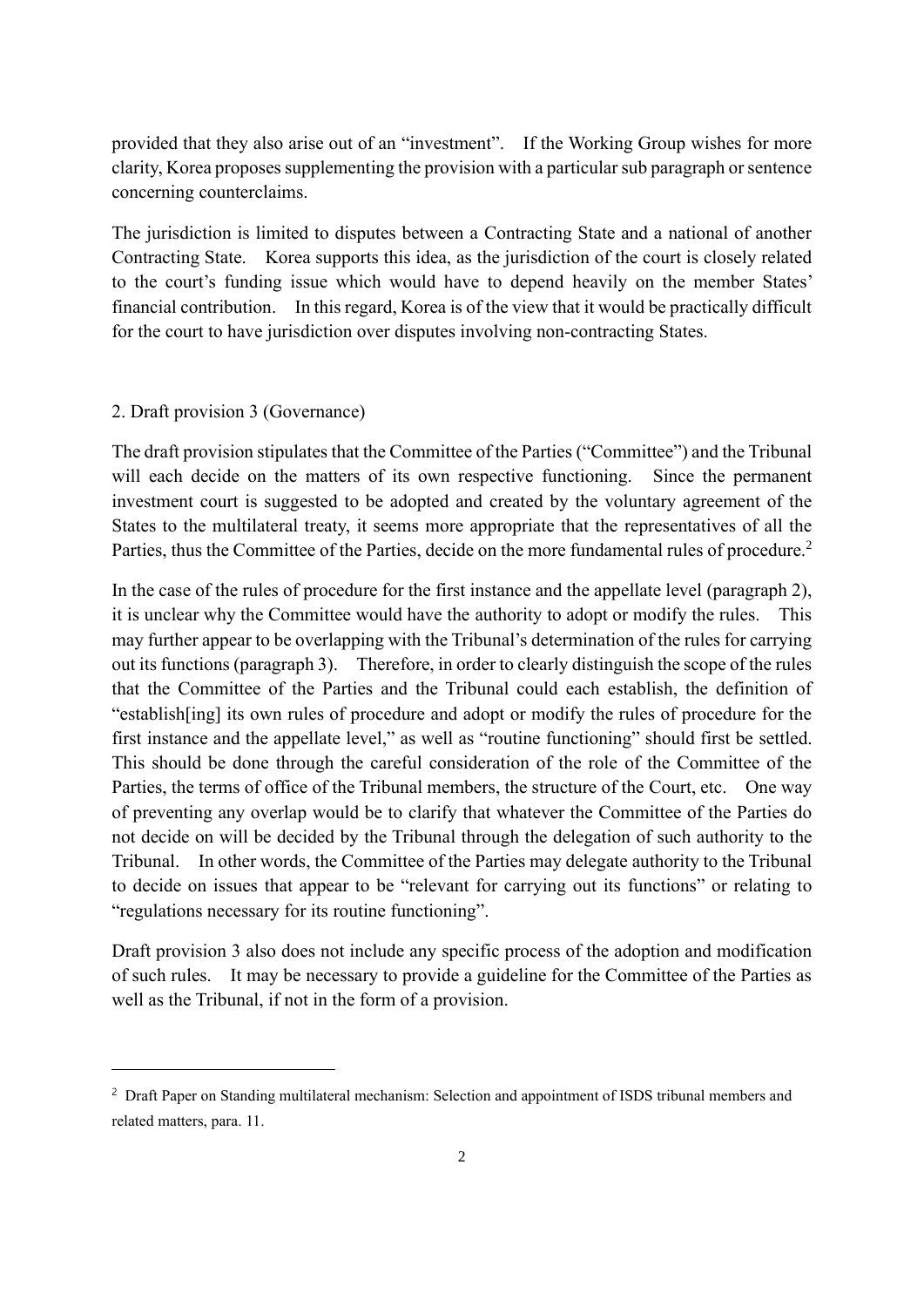provided that they also arise out of an "investment". If the Working Group wishes for more clarity, Korea proposes supplementing the provision with a particular sub paragraph or sentence concerning counterclaims.

The jurisdiction is limited to disputes between a Contracting State and a national of another Contracting State. Korea supports this idea, as the jurisdiction of the court is closely related to the court's funding issue which would have to depend heavily on the member States' financial contribution. In this regard, Korea is of the view that it would be practically difficult for the court to have jurisdiction over disputes involving non-contracting States.

### 2. Draft provision 3 (Governance)

The draft provision stipulates that the Committee of the Parties ("Committee") and the Tribunal will each decide on the matters of its own respective functioning. Since the permanent investment court is suggested to be adopted and created by the voluntary agreement of the States to the multilateral treaty, it seems more appropriate that the representatives of all the Parties, thus the Committee of the Parties, decide on the more fundamental rules of procedure.<sup>2</sup>

In the case of the rules of procedure for the first instance and the appellate level (paragraph 2), it is unclear why the Committee would have the authority to adopt or modify the rules. This may further appear to be overlapping with the Tribunal's determination of the rules for carrying out its functions (paragraph 3). Therefore, in order to clearly distinguish the scope of the rules that the Committee of the Parties and the Tribunal could each establish, the definition of "establish[ing] its own rules of procedure and adopt or modify the rules of procedure for the first instance and the appellate level," as well as "routine functioning" should first be settled. This should be done through the careful consideration of the role of the Committee of the Parties, the terms of office of the Tribunal members, the structure of the Court, etc. One way of preventing any overlap would be to clarify that whatever the Committee of the Parties do not decide on will be decided by the Tribunal through the delegation of such authority to the Tribunal. In other words, the Committee of the Parties may delegate authority to the Tribunal to decide on issues that appear to be "relevant for carrying out its functions" or relating to "regulations necessary for its routine functioning".

Draft provision 3 also does not include any specific process of the adoption and modification of such rules. It may be necessary to provide a guideline for the Committee of the Parties as well as the Tribunal, if not in the form of a provision.

<sup>&</sup>lt;sup>2</sup> Draft Paper on Standing multilateral mechanism: Selection and appointment of ISDS tribunal members and related matters, para. 11.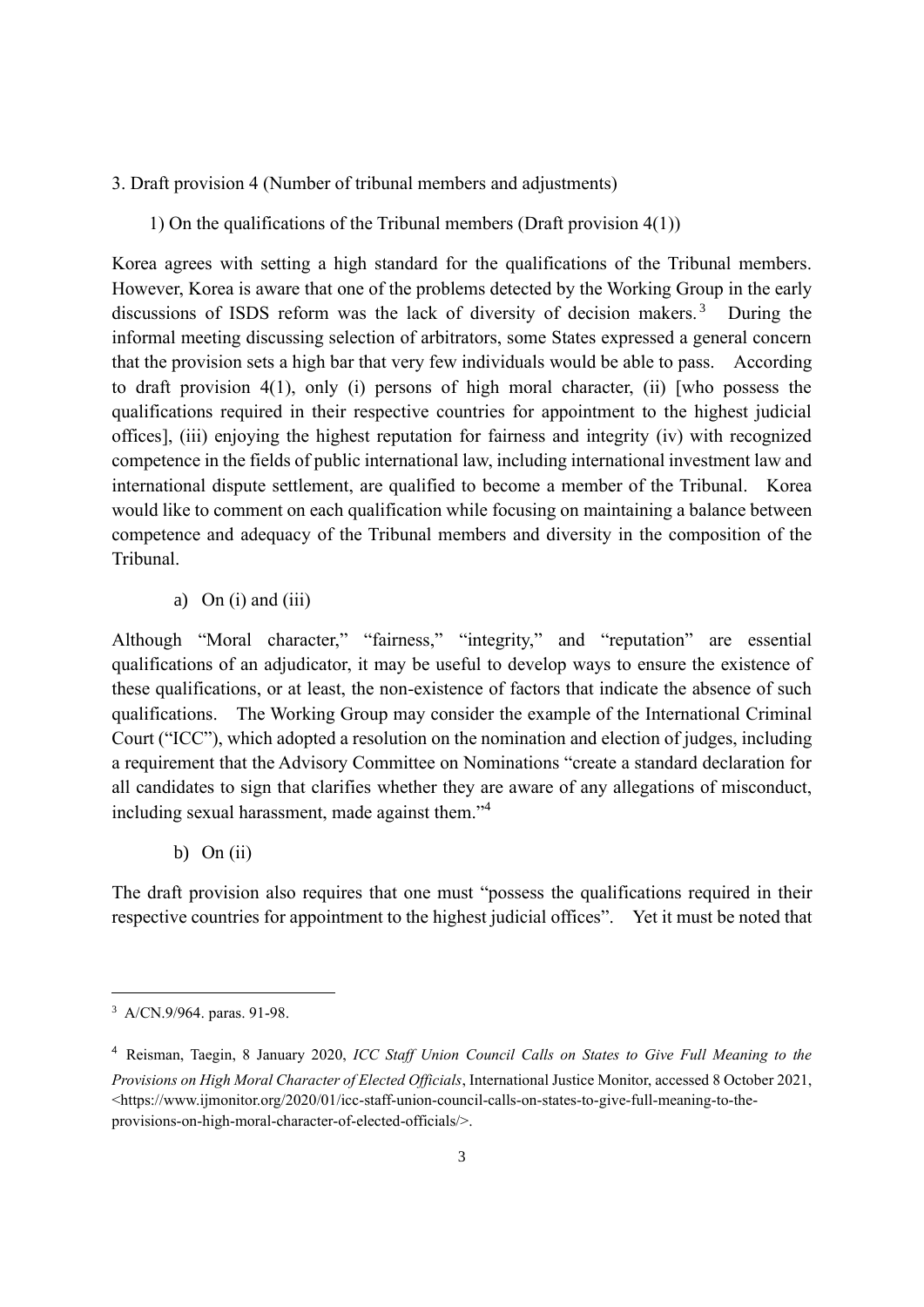- 3. Draft provision 4 (Number of tribunal members and adjustments)
	- 1) On the qualifications of the Tribunal members (Draft provision 4(1))

Korea agrees with setting a high standard for the qualifications of the Tribunal members. However, Korea is aware that one of the problems detected by the Working Group in the early discussions of ISDS reform was the lack of diversity of decision makers.<sup>3</sup> During the informal meeting discussing selection of arbitrators, some States expressed a general concern that the provision sets a high bar that very few individuals would be able to pass. According to draft provision 4(1), only (i) persons of high moral character, (ii) [who possess the qualifications required in their respective countries for appointment to the highest judicial offices], (iii) enjoying the highest reputation for fairness and integrity (iv) with recognized competence in the fields of public international law, including international investment law and international dispute settlement, are qualified to become a member of the Tribunal. Korea would like to comment on each qualification while focusing on maintaining a balance between competence and adequacy of the Tribunal members and diversity in the composition of the Tribunal.

a) On  $(i)$  and  $(iii)$ 

Although "Moral character," "fairness," "integrity," and "reputation" are essential qualifications of an adjudicator, it may be useful to develop ways to ensure the existence of these qualifications, or at least, the non-existence of factors that indicate the absence of such qualifications. The Working Group may consider the example of the International Criminal Court ("ICC"), which adopted a resolution on the nomination and election of judges, including a requirement that the Advisory Committee on Nominations "create a standard declaration for all candidates to sign that clarifies whether they are aware of any allegations of misconduct, including sexual harassment, made against them."<sup>4</sup>

b) On  $(ii)$ 

The draft provision also requires that one must "possess the qualifications required in their respective countries for appointment to the highest judicial offices". Yet it must be noted that

<sup>3</sup> A/CN.9/964. paras. 91-98.

<sup>4</sup> Reisman, Taegin, 8 January 2020, *ICC Staff Union Council Calls on States to Give Full Meaning to the Provisions on High Moral Character of Elected Officials*, International Justice Monitor, accessed 8 October 2021, <https://www.ijmonitor.org/2020/01/icc-staff-union-council-calls-on-states-to-give-full-meaning-to-theprovisions-on-high-moral-character-of-elected-officials/>.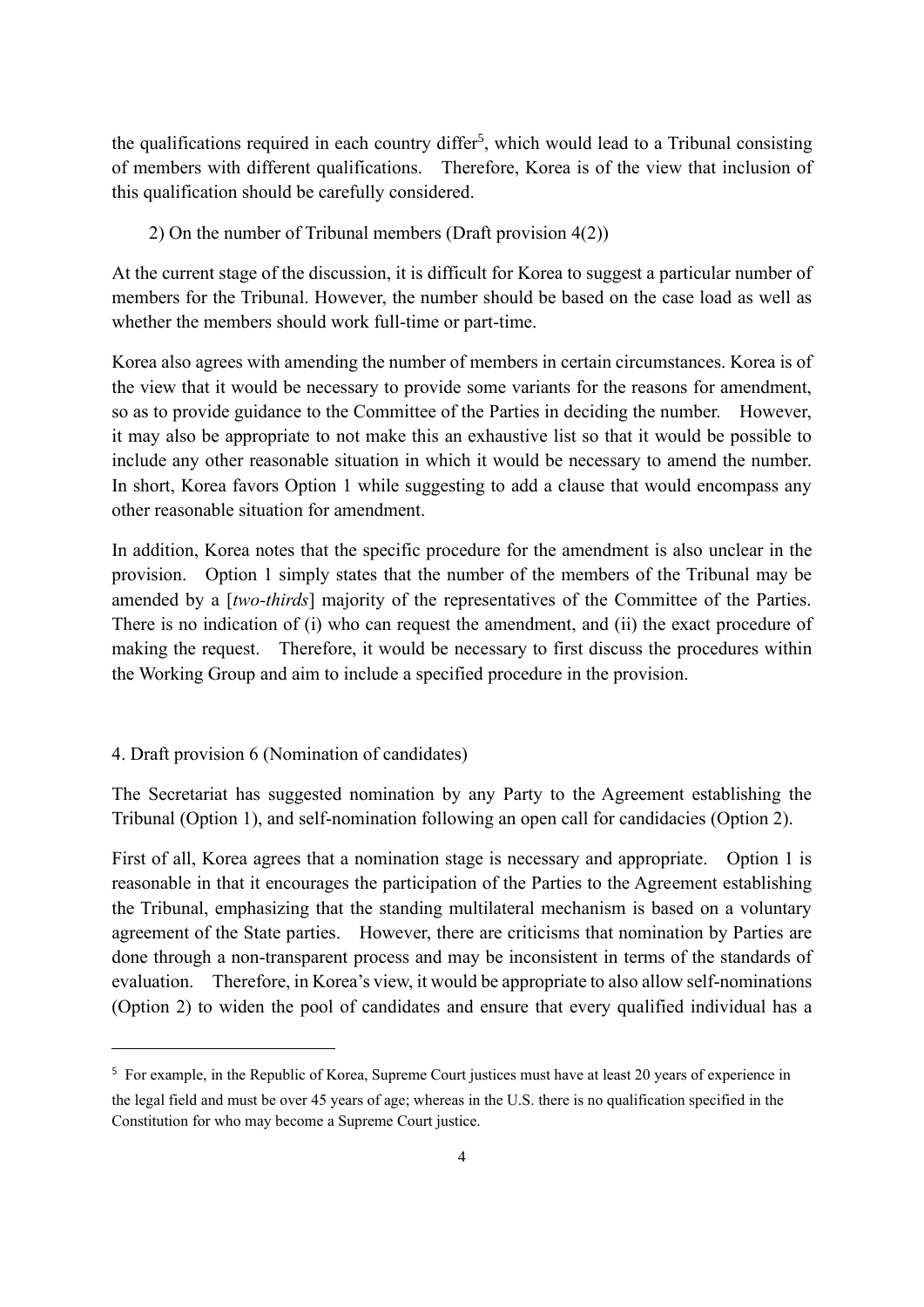the qualifications required in each country differ<sup>5</sup>, which would lead to a Tribunal consisting of members with different qualifications. Therefore, Korea is of the view that inclusion of this qualification should be carefully considered.

2) On the number of Tribunal members (Draft provision 4(2))

At the current stage of the discussion, it is difficult for Korea to suggest a particular number of members for the Tribunal. However, the number should be based on the case load as well as whether the members should work full-time or part-time.

Korea also agrees with amending the number of members in certain circumstances. Korea is of the view that it would be necessary to provide some variants for the reasons for amendment, so as to provide guidance to the Committee of the Parties in deciding the number. However, it may also be appropriate to not make this an exhaustive list so that it would be possible to include any other reasonable situation in which it would be necessary to amend the number. In short, Korea favors Option 1 while suggesting to add a clause that would encompass any other reasonable situation for amendment.

In addition, Korea notes that the specific procedure for the amendment is also unclear in the provision. Option 1 simply states that the number of the members of the Tribunal may be amended by a [*two-thirds*] majority of the representatives of the Committee of the Parties. There is no indication of (i) who can request the amendment, and (ii) the exact procedure of making the request. Therefore, it would be necessary to first discuss the procedures within the Working Group and aim to include a specified procedure in the provision.

## 4. Draft provision 6 (Nomination of candidates)

The Secretariat has suggested nomination by any Party to the Agreement establishing the Tribunal (Option 1), and self-nomination following an open call for candidacies (Option 2).

First of all, Korea agrees that a nomination stage is necessary and appropriate. Option 1 is reasonable in that it encourages the participation of the Parties to the Agreement establishing the Tribunal, emphasizing that the standing multilateral mechanism is based on a voluntary agreement of the State parties. However, there are criticisms that nomination by Parties are done through a non-transparent process and may be inconsistent in terms of the standards of evaluation. Therefore, in Korea's view, it would be appropriate to also allow self-nominations (Option 2) to widen the pool of candidates and ensure that every qualified individual has a

<sup>5</sup> For example, in the Republic of Korea, Supreme Court justices must have at least 20 years of experience in the legal field and must be over 45 years of age; whereas in the U.S. there is no qualification specified in the Constitution for who may become a Supreme Court justice.